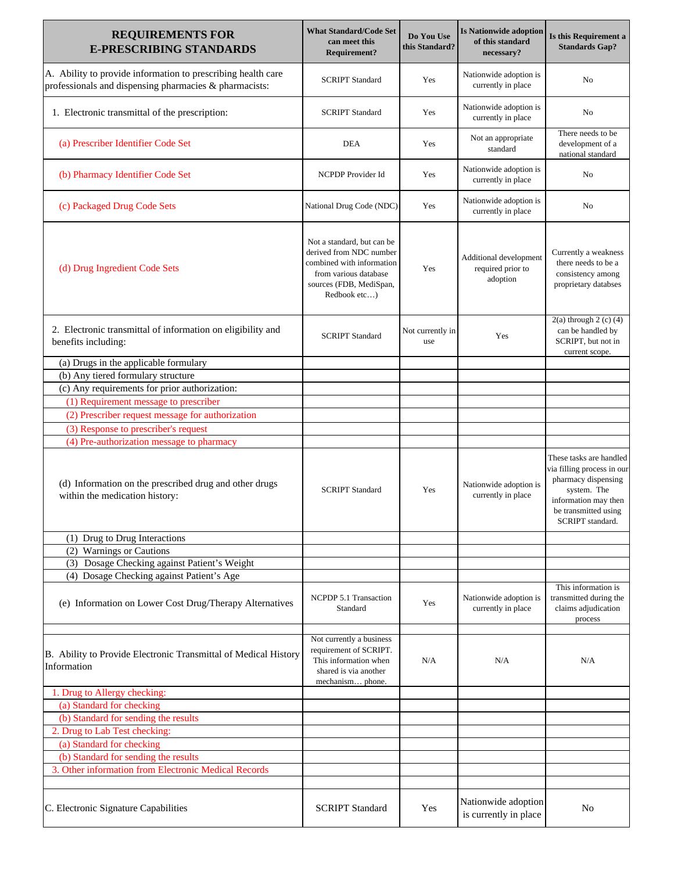| <b>REQUIREMENTS FOR</b><br><b>E-PRESCRIBING STANDARDS</b>                                                              | <b>What Standard/Code Set</b><br>can meet this<br>Requirement?                                                                                         | Do You Use<br>this Standard? | <b>Is Nationwide adoption</b><br>of this standard<br>necessary? | Is this Requirement a<br><b>Standards Gap?</b>                                                                                                                  |
|------------------------------------------------------------------------------------------------------------------------|--------------------------------------------------------------------------------------------------------------------------------------------------------|------------------------------|-----------------------------------------------------------------|-----------------------------------------------------------------------------------------------------------------------------------------------------------------|
| A. Ability to provide information to prescribing health care<br>professionals and dispensing pharmacies & pharmacists: | <b>SCRIPT Standard</b>                                                                                                                                 | Yes                          | Nationwide adoption is<br>currently in place                    | No                                                                                                                                                              |
| 1. Electronic transmittal of the prescription:                                                                         | <b>SCRIPT</b> Standard                                                                                                                                 | Yes                          | Nationwide adoption is<br>currently in place                    | No                                                                                                                                                              |
| (a) Prescriber Identifier Code Set                                                                                     | <b>DEA</b>                                                                                                                                             | Yes                          | Not an appropriate<br>standard                                  | There needs to be<br>development of a<br>national standard                                                                                                      |
| (b) Pharmacy Identifier Code Set                                                                                       | NCPDP Provider Id                                                                                                                                      | Yes                          | Nationwide adoption is<br>currently in place                    | No                                                                                                                                                              |
| (c) Packaged Drug Code Sets                                                                                            | National Drug Code (NDC)                                                                                                                               | Yes                          | Nationwide adoption is<br>currently in place                    | No                                                                                                                                                              |
| (d) Drug Ingredient Code Sets                                                                                          | Not a standard, but can be<br>derived from NDC number<br>combined with information<br>from various database<br>sources (FDB, MediSpan,<br>Redbook etc) | Yes                          | Additional development<br>required prior to<br>adoption         | Currently a weakness<br>there needs to be a<br>consistency among<br>proprietary databses                                                                        |
| 2. Electronic transmittal of information on eligibility and<br>benefits including:                                     | <b>SCRIPT</b> Standard                                                                                                                                 | Not currently in<br>use      | Yes                                                             | $2(a)$ through $2(c)$ (4)<br>can be handled by<br>SCRIPT, but not in<br>current scope.                                                                          |
| (a) Drugs in the applicable formulary                                                                                  |                                                                                                                                                        |                              |                                                                 |                                                                                                                                                                 |
| (b) Any tiered formulary structure                                                                                     |                                                                                                                                                        |                              |                                                                 |                                                                                                                                                                 |
| (c) Any requirements for prior authorization:                                                                          |                                                                                                                                                        |                              |                                                                 |                                                                                                                                                                 |
| (1) Requirement message to prescriber                                                                                  |                                                                                                                                                        |                              |                                                                 |                                                                                                                                                                 |
| (2) Prescriber request message for authorization                                                                       |                                                                                                                                                        |                              |                                                                 |                                                                                                                                                                 |
| (3) Response to prescriber's request                                                                                   |                                                                                                                                                        |                              |                                                                 |                                                                                                                                                                 |
| (4) Pre-authorization message to pharmacy                                                                              |                                                                                                                                                        |                              |                                                                 |                                                                                                                                                                 |
| (d) Information on the prescribed drug and other drugs<br>within the medication history:                               | <b>SCRIPT</b> Standard                                                                                                                                 | Yes                          | Nationwide adoption is<br>currently in place                    | These tasks are handled<br>via filling process in our<br>pharmacy dispensing<br>system. The<br>information may then<br>be transmitted using<br>SCRIPT standard. |
| (1) Drug to Drug Interactions                                                                                          |                                                                                                                                                        |                              |                                                                 |                                                                                                                                                                 |
| (2) Warnings or Cautions                                                                                               |                                                                                                                                                        |                              |                                                                 |                                                                                                                                                                 |
| (3) Dosage Checking against Patient's Weight                                                                           |                                                                                                                                                        |                              |                                                                 |                                                                                                                                                                 |
| (4) Dosage Checking against Patient's Age                                                                              |                                                                                                                                                        |                              |                                                                 |                                                                                                                                                                 |
| (e) Information on Lower Cost Drug/Therapy Alternatives                                                                | NCPDP 5.1 Transaction<br>Standard                                                                                                                      | Yes                          | Nationwide adoption is<br>currently in place                    | This information is<br>transmitted during the<br>claims adjudication<br>process                                                                                 |
| B. Ability to Provide Electronic Transmittal of Medical History<br>Information                                         | Not currently a business<br>requirement of SCRIPT.<br>This information when<br>shared is via another<br>mechanism phone.                               | N/A                          | N/A                                                             | N/A                                                                                                                                                             |
| 1. Drug to Allergy checking:                                                                                           |                                                                                                                                                        |                              |                                                                 |                                                                                                                                                                 |
| (a) Standard for checking                                                                                              |                                                                                                                                                        |                              |                                                                 |                                                                                                                                                                 |
| (b) Standard for sending the results                                                                                   |                                                                                                                                                        |                              |                                                                 |                                                                                                                                                                 |
| 2. Drug to Lab Test checking:                                                                                          |                                                                                                                                                        |                              |                                                                 |                                                                                                                                                                 |
| (a) Standard for checking                                                                                              |                                                                                                                                                        |                              |                                                                 |                                                                                                                                                                 |
| (b) Standard for sending the results                                                                                   |                                                                                                                                                        |                              |                                                                 |                                                                                                                                                                 |
| 3. Other information from Electronic Medical Records                                                                   |                                                                                                                                                        |                              |                                                                 |                                                                                                                                                                 |
|                                                                                                                        |                                                                                                                                                        |                              |                                                                 |                                                                                                                                                                 |
| C. Electronic Signature Capabilities                                                                                   | <b>SCRIPT Standard</b>                                                                                                                                 | Yes                          | Nationwide adoption<br>is currently in place                    | No                                                                                                                                                              |